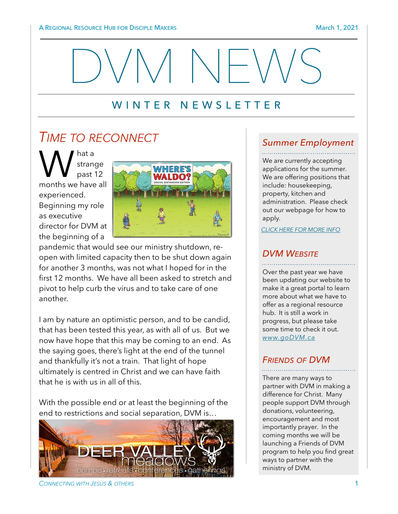

## WINTER NEWSLETTER

# *TIME TO RECONNECT*

M strange<br>
months we have all strange past 12 experienced. Beginning my role as executive director for DVM at the beginning of a



pandemic that would see our ministry shutdown, reopen with limited capacity then to be shut down again for another 3 months, was not what I hoped for in the first 12 months. We have all been asked to stretch and pivot to help curb the virus and to take care of one another.

I am by nature an optimistic person, and to be candid, that has been tested this year, as with all of us. But we now have hope that this may be coming to an end. As the saying goes, there's light at the end of the tunnel and thankfully it's not a train. That light of hope ultimately is centred in Christ and we can have faith that he is with us in all of this.

With the possible end or at least the beginning of the end to restrictions and social separation, DVM is…



*CONNECTING WITH JESUS & OTHERS* 1

#### *Summer Employment*

We are currently accepting applications for the summer. We are offering positions that include: housekeeping, property, kitchen and administration. Please check out our webpage for how to apply.

*[CLICK HERE FOR MORE INFO](https://www.godvm.ca/employment-opportunities)*

#### *DVM WEBSITE*

Over the past year we have been updating our website to make it a great portal to learn more about what we have to offer as a regional resource hub. It is still a work in progress, but please take some time to check it out. *[www.goDVM.ca](https://www.godvm.ca)*

#### *FRIENDS OF DVM*

There are many ways to partner with DVM in making a difference for Christ. Many people support DVM through donations, volunteering, encouragement and most importantly prayer. In the coming months we will be launching a Friends of DVM program to help you find great ways to partner with the ministry of DVM.